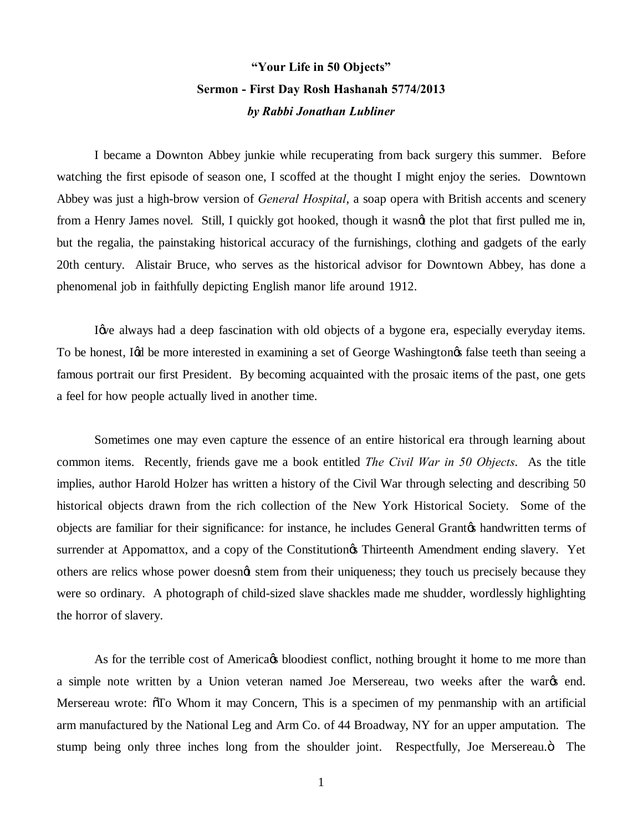## **"Your Life in 50 Objects" Sermon - First Day Rosh Hashanah 5774/2013** *by Rabbi Jonathan Lubliner*

I became a Downton Abbey junkie while recuperating from back surgery this summer. Before watching the first episode of season one, I scoffed at the thought I might enjoy the series. Downtown Abbey was just a high-brow version of *General Hospital*, a soap opera with British accents and scenery from a Henry James novel. Still, I quickly got hooked, though it wasn't the plot that first pulled me in, but the regalia, the painstaking historical accuracy of the furnishings, clothing and gadgets of the early 20th century. Alistair Bruce, who serves as the historical advisor for Downtown Abbey, has done a phenomenal job in faithfully depicting English manor life around 1912.

I give always had a deep fascination with old objects of a bygone era, especially everyday items. To be honest, In the more interested in examining a set of George Washington takes teeth than seeing a famous portrait our first President. By becoming acquainted with the prosaic items of the past, one gets a feel for how people actually lived in another time.

Sometimes one may even capture the essence of an entire historical era through learning about common items. Recently, friends gave me a book entitled *The Civil War in 50 Objects*. As the title implies, author Harold Holzer has written a history of the Civil War through selecting and describing 50 historical objects drawn from the rich collection of the New York Historical Society. Some of the objects are familiar for their significance: for instance, he includes General Grantos handwritten terms of surrender at Appomattox, and a copy of the Constitution of Thirteenth Amendment ending slavery. Yet others are relics whose power doesnot stem from their uniqueness; they touch us precisely because they were so ordinary. A photograph of child-sized slave shackles made me shudder, wordlessly highlighting the horror of slavery.

As for the terrible cost of America to bloodiest conflict, nothing brought it home to me more than a simple note written by a Union veteran named Joe Mersereau, two weeks after the wards end. Mersereau wrote:  $\tilde{o}$ To Whom it may Concern, This is a specimen of my penmanship with an artificial arm manufactured by the National Leg and Arm Co. of 44 Broadway, NY for an upper amputation. The stump being only three inches long from the shoulder joint. Respectfully, Joe Mersereau.<sup>3</sup> The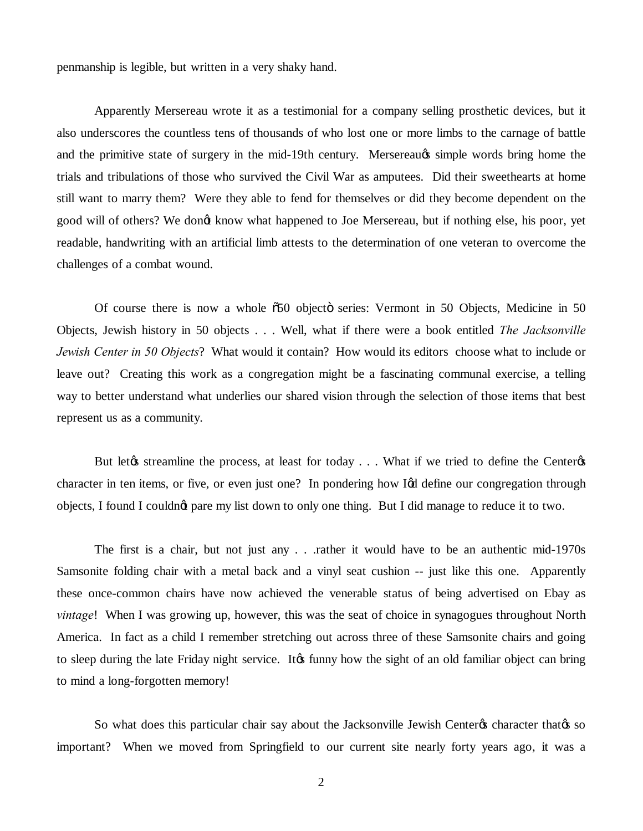penmanship is legible, but written in a very shaky hand.

Apparently Mersereau wrote it as a testimonial for a company selling prosthetic devices, but it also underscores the countless tens of thousands of who lost one or more limbs to the carnage of battle and the primitive state of surgery in the mid-19th century. Mersereau $\alpha$  simple words bring home the trials and tribulations of those who survived the Civil War as amputees. Did their sweethearts at home still want to marry them? Were they able to fend for themselves or did they become dependent on the good will of others? We dongt know what happened to Joe Mersereau, but if nothing else, his poor, yet readable, handwriting with an artificial limb attests to the determination of one veteran to overcome the challenges of a combat wound.

Of course there is now a whole  $\tilde{0}50$  objecto series: Vermont in 50 Objects, Medicine in 50 Objects, Jewish history in 50 objects . . . Well, what if there were a book entitled *The Jacksonville Jewish Center in 50 Objects*? What would it contain? How would its editors choose what to include or leave out? Creating this work as a congregation might be a fascinating communal exercise, a telling way to better understand what underlies our shared vision through the selection of those items that best represent us as a community.

But let the streamline the process, at least for today . . . What if we tried to define the Center the Senter of streamline the next streamline the next streamline the next streamline the next streamline the streamline str character in ten items, or five, or even just one? In pondering how I& define our congregation through objects, I found I couldn't pare my list down to only one thing. But I did manage to reduce it to two.

The first is a chair, but not just any . . .rather it would have to be an authentic mid-1970s Samsonite folding chair with a metal back and a vinyl seat cushion -- just like this one. Apparently these once-common chairs have now achieved the venerable status of being advertised on Ebay as *vintage*! When I was growing up, however, this was the seat of choice in synagogues throughout North America. In fact as a child I remember stretching out across three of these Samsonite chairs and going to sleep during the late Friday night service. It ts funny how the sight of an old familiar object can bring to mind a long-forgotten memory!

So what does this particular chair say about the Jacksonville Jewish Center<sub>®</sub> character that<sup>®</sup> so important? When we moved from Springfield to our current site nearly forty years ago, it was a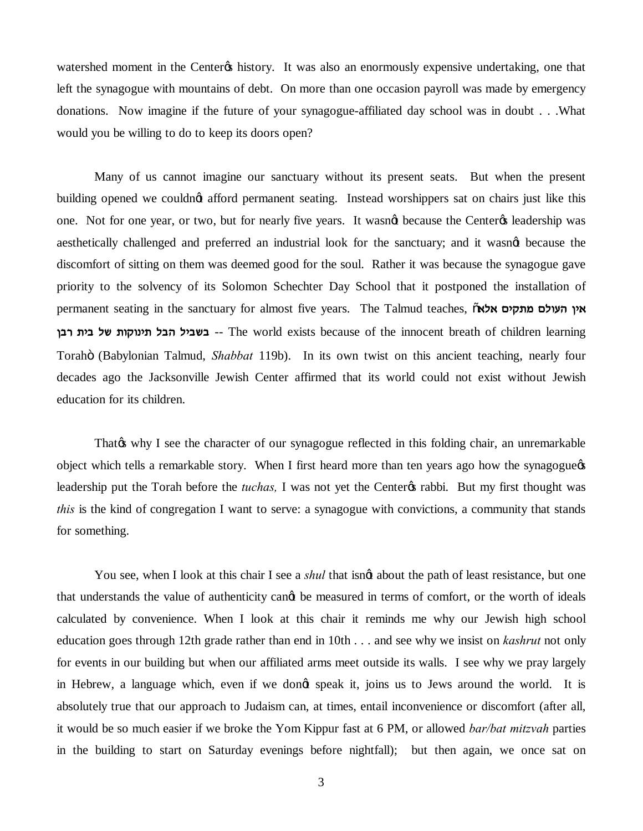watershed moment in the Center os history. It was also an enormously expensive undertaking, one that left the synagogue with mountains of debt. On more than one occasion payroll was made by emergency donations. Now imagine if the future of your synagogue-affiliated day school was in doubt . . .What would you be willing to do to keep its doors open?

Many of us cannot imagine our sanctuary without its present seats. But when the present building opened we couldnot afford permanent seating. Instead worshippers sat on chairs just like this one. Not for one year, or two, but for nearly five years. It wasnet because the Centeres leadership was aesthetically challenged and preferred an industrial look for the sanctuary; and it wasned because the discomfort of sitting on them was deemed good for the soul. Rather it was because the synagogue gave priority to the solvency of its Solomon Schechter Day School that it postponed the installation of permanent seating in the sanctuary for almost five years. The Talmud teaches,  $\tilde{o}$ אין העולם מתקים אלא **oax zia ly zewepiz lad liaya** -- The world exists because of the innocent breath of children learning Torah" (Babylonian Talmud, *Shabbat* 119b). In its own twist on this ancient teaching, nearly four decades ago the Jacksonville Jewish Center affirmed that its world could not exist without Jewish education for its children.

That the V I see the character of our synagogue reflected in this folding chair, an unremarkable object which tells a remarkable story. When I first heard more than ten years ago how the synagogue of leadership put the Torah before the *tuchas*, I was not yet the Center os rabbi. But my first thought was *this* is the kind of congregation I want to serve: a synagogue with convictions, a community that stands for something.

You see, when I look at this chair I see a *shul* that isng about the path of least resistance, but one that understands the value of authenticity cange be measured in terms of comfort, or the worth of ideals calculated by convenience. When I look at this chair it reminds me why our Jewish high school education goes through 12th grade rather than end in 10th . . . and see why we insist on *kashrut* not only for events in our building but when our affiliated arms meet outside its walls. I see why we pray largely in Hebrew, a language which, even if we dongt speak it, joins us to Jews around the world. It is absolutely true that our approach to Judaism can, at times, entail inconvenience or discomfort (after all, it would be so much easier if we broke the Yom Kippur fast at 6 PM, or allowed *bar/bat mitzvah* parties in the building to start on Saturday evenings before nightfall); but then again, we once sat on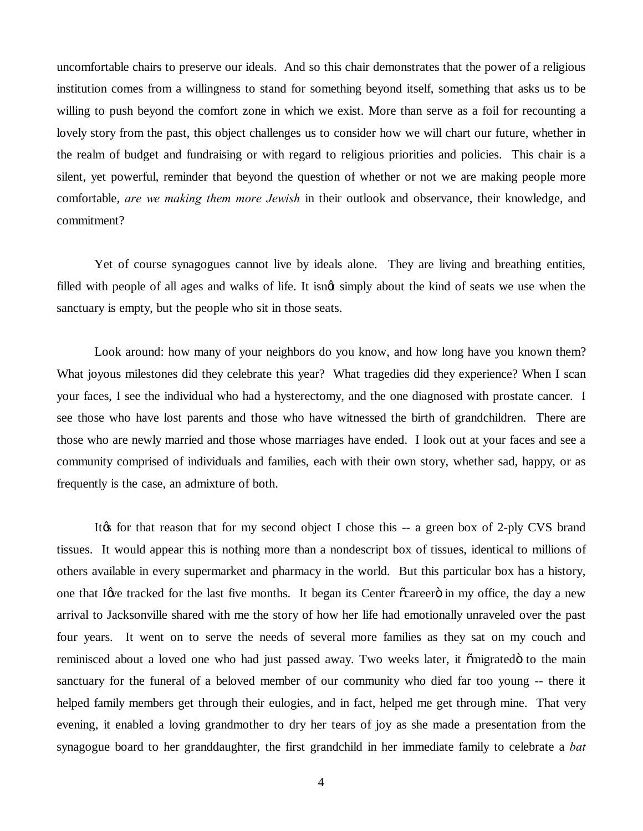uncomfortable chairs to preserve our ideals. And so this chair demonstrates that the power of a religious institution comes from a willingness to stand for something beyond itself, something that asks us to be willing to push beyond the comfort zone in which we exist. More than serve as a foil for recounting a lovely story from the past, this object challenges us to consider how we will chart our future, whether in the realm of budget and fundraising or with regard to religious priorities and policies. This chair is a silent, yet powerful, reminder that beyond the question of whether or not we are making people more comfortable, *are we making them more Jewish* in their outlook and observance, their knowledge, and commitment?

Yet of course synagogues cannot live by ideals alone. They are living and breathing entities, filled with people of all ages and walks of life. It isngt simply about the kind of seats we use when the sanctuary is empty, but the people who sit in those seats.

Look around: how many of your neighbors do you know, and how long have you known them? What joyous milestones did they celebrate this year? What tragedies did they experience? When I scan your faces, I see the individual who had a hysterectomy, and the one diagnosed with prostate cancer. I see those who have lost parents and those who have witnessed the birth of grandchildren. There are those who are newly married and those whose marriages have ended. I look out at your faces and see a community comprised of individuals and families, each with their own story, whether sad, happy, or as frequently is the case, an admixture of both.

It is for that reason that for my second object I chose this  $-$  a green box of 2-ply CVS brand tissues. It would appear this is nothing more than a nondescript box of tissues, identical to millions of others available in every supermarket and pharmacy in the world. But this particular box has a history, one that I give tracked for the last five months. It began its Center  $\tilde{c}$  career  $\ddot{o}$  in my office, the day a new arrival to Jacksonville shared with me the story of how her life had emotionally unraveled over the past four years. It went on to serve the needs of several more families as they sat on my couch and reminisced about a loved one who had just passed away. Two weeks later, it omigrated to the main sanctuary for the funeral of a beloved member of our community who died far too young -- there it helped family members get through their eulogies, and in fact, helped me get through mine. That very evening, it enabled a loving grandmother to dry her tears of joy as she made a presentation from the synagogue board to her granddaughter, the first grandchild in her immediate family to celebrate a *bat*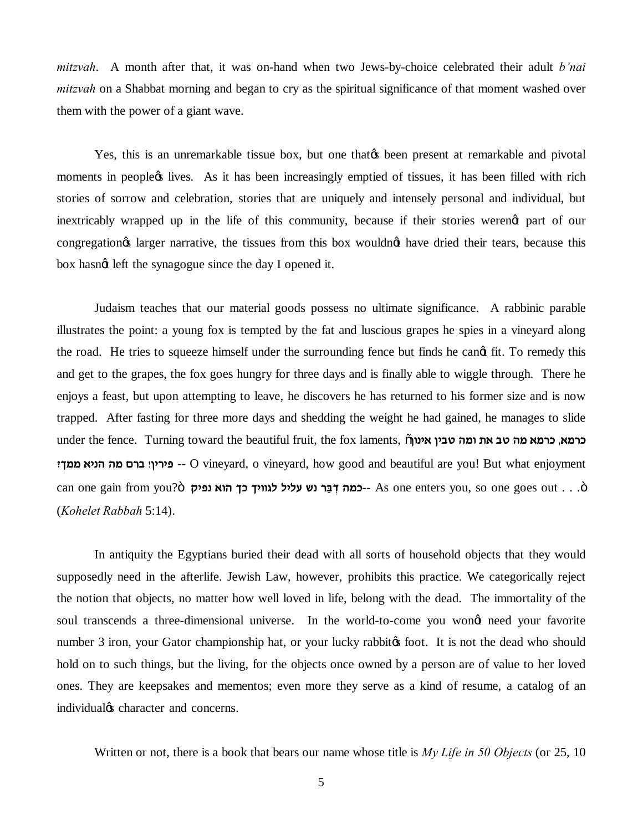*mitzvah*. A month after that, it was on-hand when two Jews-by-choice celebrated their adult *b'nai mitzvah* on a Shabbat morning and began to cry as the spiritual significance of that moment washed over them with the power of a giant wave.

Yes, this is an unremarkable tissue box, but one that the present at remarkable and pivotal moments in peoplect lives. As it has been increasingly emptied of tissues, it has been filled with rich stories of sorrow and celebration, stories that are uniquely and intensely personal and individual, but inextricably wrapped up in the life of this community, because if their stories werengt part of our congregation targer narrative, the tissues from this box wouldnot have dried their tears, because this box hasngt left the synagogue since the day I opened it.

Judaism teaches that our material goods possess no ultimate significance. A rabbinic parable illustrates the point: a young fox is tempted by the fat and luscious grapes he spies in a vineyard along the road. He tries to squeeze himself under the surrounding fence but finds he cand fit. To remedy this and get to the grapes, the fox goes hungry for three days and is finally able to wiggle through. There he enjoys a feast, but upon attempting to leave, he discovers he has returned to his former size and is now trapped. After fasting for three more days and shedding the weight he had gained, he manages to slide under the fence. Turning toward the beautiful fruit, the fox laments, "**oepi` oiah dne z` ah dn `nxk ,`nxk ?jnn `ipd dn mxa !oixit** -- O vineyard, o vineyard, how good and beautiful are you! But what enjoyment can one gain from you?ö **ווויך כך הוא נפיק 15** ks one enters you, so one goes out . . . ö (*Kohelet Rabbah* 5:14).

In antiquity the Egyptians buried their dead with all sorts of household objects that they would supposedly need in the afterlife. Jewish Law, however, prohibits this practice. We categorically reject the notion that objects, no matter how well loved in life, belong with the dead. The immortality of the soul transcends a three-dimensional universe. In the world-to-come you wong need your favorite number 3 iron, your Gator championship hat, or your lucky rabbitos foot. It is not the dead who should hold on to such things, but the living, for the objects once owned by a person are of value to her loved ones. They are keepsakes and mementos; even more they serve as a kind of resume, a catalog of an individual<sub><sup>8</sup></sub> character and concerns.

Written or not, there is a book that bears our name whose title is *My Life in 50 Objects* (or 25, 10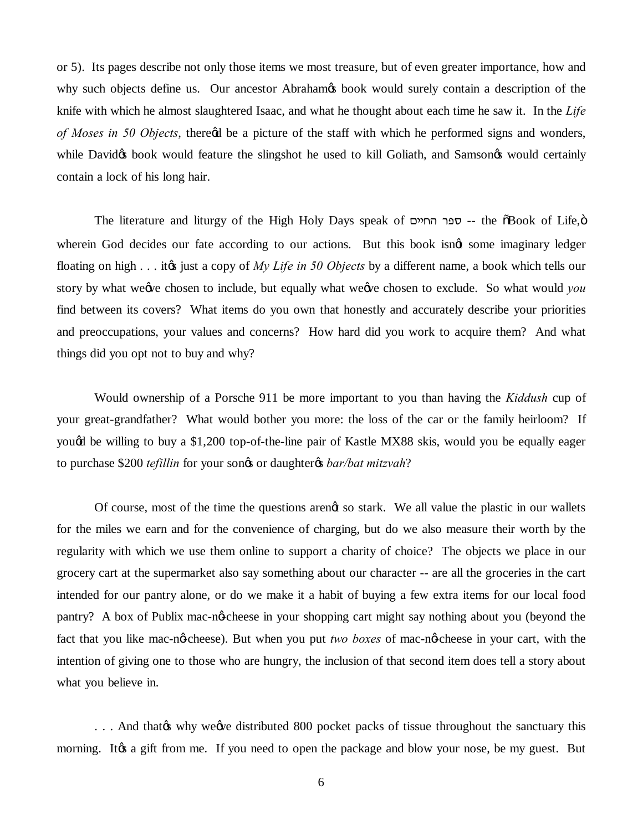or 5). Its pages describe not only those items we most treasure, but of even greater importance, how and why such objects define us. Our ancestor Abraham's book would surely contain a description of the knife with which he almost slaughtered Isaac, and what he thought about each time he saw it. In the *Life of Moses in 50 Objects*, theregd be a picture of the staff with which he performed signs and wonders, while Davidos book would feature the slingshot he used to kill Goliath, and Samsonos would certainly contain a lock of his long hair.

The literature and liturgy of the High Holy Days speak of  $m$ סבר החיים -- the  $\delta$ Book of Life, $\ddot{o}$ wherein God decides our fate according to our actions. But this book isnet some imaginary ledger floating on high . . . it to just a copy of *My Life in 50 Objects* by a different name, a book which tells our story by what we*e*ve chosen to include, but equally what weave chosen to exclude. So what would *you* find between its covers? What items do you own that honestly and accurately describe your priorities and preoccupations, your values and concerns? How hard did you work to acquire them? And what things did you opt not to buy and why?

Would ownership of a Porsche 911 be more important to you than having the *Kiddush* cup of your great-grandfather? What would bother you more: the loss of the car or the family heirloom? If yougd be willing to buy a \$1,200 top-of-the-line pair of Kastle MX88 skis, would you be equally eager to purchase \$200 *tefillin* for your songs or daughtergs *bar/bat mitzvah*?

Of course, most of the time the questions arengt so stark. We all value the plastic in our wallets for the miles we earn and for the convenience of charging, but do we also measure their worth by the regularity with which we use them online to support a charity of choice? The objects we place in our grocery cart at the supermarket also say something about our character -- are all the groceries in the cart intended for our pantry alone, or do we make it a habit of buying a few extra items for our local food pantry? A box of Publix mac-no-cheese in your shopping cart might say nothing about you (beyond the fact that you like mac-no-cheese). But when you put *two boxes* of mac-no-cheese in your cart, with the intention of giving one to those who are hungry, the inclusion of that second item does tell a story about what you believe in.

... And that the why we we distributed 800 pocket packs of tissue throughout the sanctuary this morning. It to a gift from me. If you need to open the package and blow your nose, be my guest. But